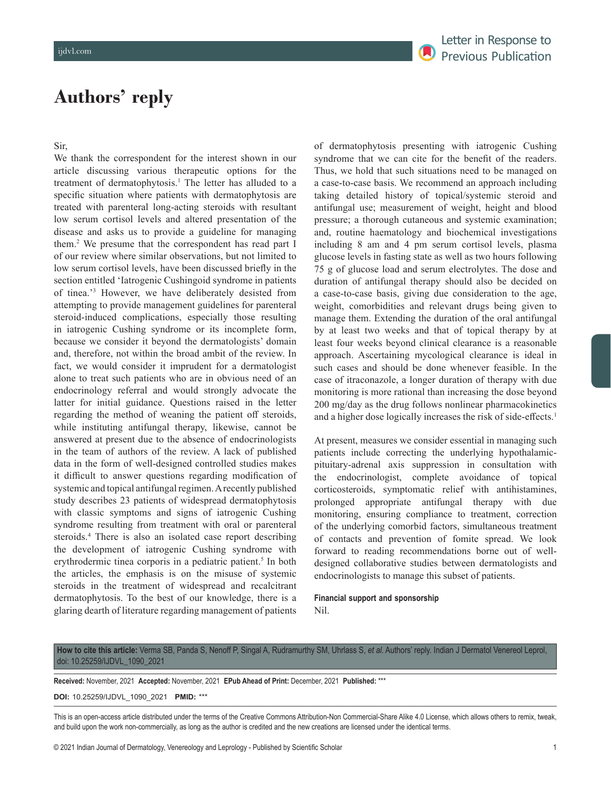# **Authors' reply**

### Sir,

We thank the correspondent for the interest shown in our article discussing various therapeutic options for the treatment of dermatophytosis.<sup>1</sup> The letter has alluded to a specific situation where patients with dermatophytosis are treated with parenteral long-acting steroids with resultant low serum cortisol levels and altered presentation of the disease and asks us to provide a guideline for managing them.2 We presume that the correspondent has read part I of our review where similar observations, but not limited to low serum cortisol levels, have been discussed briefly in the section entitled 'Iatrogenic Cushingoid syndrome in patients of tinea.'3 However, we have deliberately desisted from attempting to provide management guidelines for parenteral steroid-induced complications, especially those resulting in iatrogenic Cushing syndrome or its incomplete form, because we consider it beyond the dermatologists' domain and, therefore, not within the broad ambit of the review. In fact, we would consider it imprudent for a dermatologist alone to treat such patients who are in obvious need of an endocrinology referral and would strongly advocate the latter for initial guidance. Questions raised in the letter regarding the method of weaning the patient off steroids, while instituting antifungal therapy, likewise, cannot be answered at present due to the absence of endocrinologists in the team of authors of the review. A lack of published data in the form of well-designed controlled studies makes it difficult to answer questions regarding modification of systemic and topical antifungal regimen. Arecently published study describes 23 patients of widespread dermatophytosis with classic symptoms and signs of iatrogenic Cushing syndrome resulting from treatment with oral or parenteral steroids.4 There is also an isolated case report describing the development of iatrogenic Cushing syndrome with erythrodermic tinea corporis in a pediatric patient.<sup>5</sup> In both the articles, the emphasis is on the misuse of systemic steroids in the treatment of widespread and recalcitrant dermatophytosis. To the best of our knowledge, there is a glaring dearth of literature regarding management of patients

of dermatophytosis presenting with iatrogenic Cushing syndrome that we can cite for the benefit of the readers. Thus, we hold that such situations need to be managed on a case-to-case basis. We recommend an approach including taking detailed history of topical/systemic steroid and antifungal use; measurement of weight, height and blood pressure; a thorough cutaneous and systemic examination; and, routine haematology and biochemical investigations including 8 am and 4 pm serum cortisol levels, plasma glucose levels in fasting state as well as two hours following 75 g of glucose load and serum electrolytes. The dose and duration of antifungal therapy should also be decided on a case-to-case basis, giving due consideration to the age, weight, comorbidities and relevant drugs being given to manage them. Extending the duration of the oral antifungal by at least two weeks and that of topical therapy by at least four weeks beyond clinical clearance is a reasonable approach. Ascertaining mycological clearance is ideal in such cases and should be done whenever feasible. In the case of itraconazole, a longer duration of therapy with due monitoring is more rational than increasing the dose beyond 200 mg/day as the drug follows nonlinear pharmacokinetics and a higher dose logically increases the risk of side-effects.<sup>1</sup>

At present, measures we consider essential in managing such patients include correcting the underlying hypothalamicpituitary-adrenal axis suppression in consultation with the endocrinologist, complete avoidance of topical corticosteroids, symptomatic relief with antihistamines, prolonged appropriate antifungal therapy with due monitoring, ensuring compliance to treatment, correction of the underlying comorbid factors, simultaneous treatment of contacts and prevention of fomite spread. We look forward to reading recommendations borne out of welldesigned collaborative studies between dermatologists and endocrinologists to manage this subset of patients.

## **Financial support and sponsorship** Nil.

**How to cite this article:** Verma SB, Panda S, Nenoff P, Singal A, Rudramurthy SM, Uhrlass S, *et al*. Authors' reply. Indian J Dermatol Venereol Leprol, doi: 10.25259/IJDVL\_1090\_2021

**Received:** November, 2021 **Accepted:** November, 2021 **EPub Ahead of Print:** December, 2021 **Published:** \*\*\*

#### **DOI:** 10.25259/IJDVL\_1090\_2021 **PMID:** \*\*\*

This is an open-access article distributed under the terms of the Creative Commons Attribution-Non Commercial-Share Alike 4.0 License, which allows others to remix, tweak, and build upon the work non-commercially, as long as the author is credited and the new creations are licensed under the identical terms.